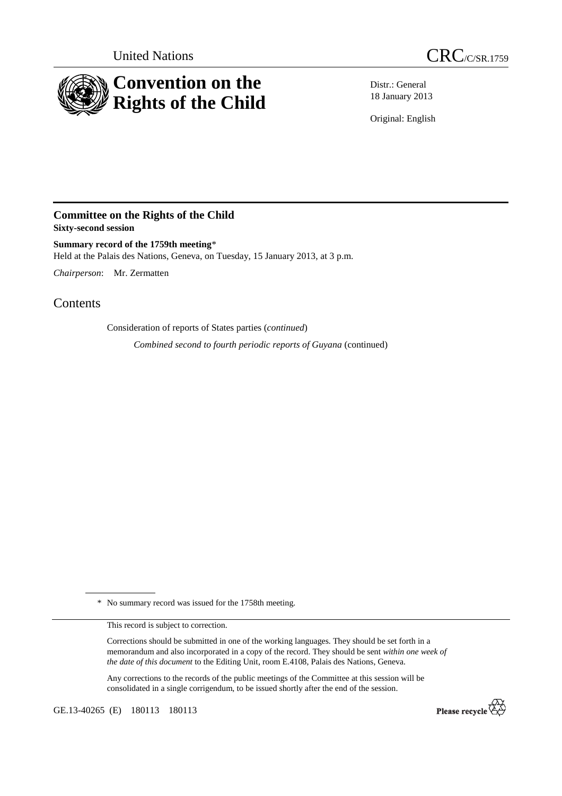



Distr.: General 18 January 2013

Original: English

## **Committee on the Rights of the Child Sixty-second session**

**Summary record of the 1759th meeting**\* Held at the Palais des Nations, Geneva, on Tuesday, 15 January 2013, at 3 p.m.

*Chairperson*: Mr. Zermatten

Contents

Consideration of reports of States parties (*continued*)

*Combined second to fourth periodic reports of Guyana* (continued)

\* No summary record was issued for the 1758th meeting.

This record is subject to correction.

Corrections should be submitted in one of the working languages. They should be set forth in a memorandum and also incorporated in a copy of the record. They should be sent *within one week of the date of this document* to the Editing Unit, room E.4108, Palais des Nations, Geneva.

Any corrections to the records of the public meetings of the Committee at this session will be consolidated in a single corrigendum, to be issued shortly after the end of the session.

GE.13-40265 (E) 180113 180113

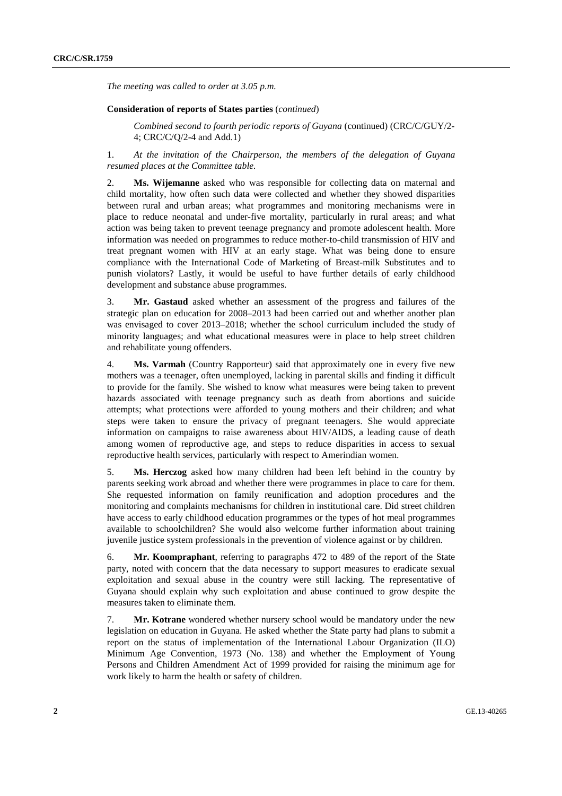*The meeting was called to order at 3.05 p.m.* 

## **Consideration of reports of States parties** (*continued*)

*Combined second to fourth periodic reports of Guyana* (continued) (CRC/C/GUY/2- 4; CRC/C/Q/2-4 and Add.1)

1. *At the invitation of the Chairperson, the members of the delegation of Guyana resumed places at the Committee table.* 

2. **Ms. Wijemanne** asked who was responsible for collecting data on maternal and child mortality, how often such data were collected and whether they showed disparities between rural and urban areas; what programmes and monitoring mechanisms were in place to reduce neonatal and under-five mortality, particularly in rural areas; and what action was being taken to prevent teenage pregnancy and promote adolescent health. More information was needed on programmes to reduce mother-to-child transmission of HIV and treat pregnant women with HIV at an early stage. What was being done to ensure compliance with the International Code of Marketing of Breast-milk Substitutes and to punish violators? Lastly, it would be useful to have further details of early childhood development and substance abuse programmes.

3. **Mr. Gastaud** asked whether an assessment of the progress and failures of the strategic plan on education for 2008–2013 had been carried out and whether another plan was envisaged to cover 2013–2018; whether the school curriculum included the study of minority languages; and what educational measures were in place to help street children and rehabilitate young offenders.

4. **Ms. Varmah** (Country Rapporteur) said that approximately one in every five new mothers was a teenager, often unemployed, lacking in parental skills and finding it difficult to provide for the family. She wished to know what measures were being taken to prevent hazards associated with teenage pregnancy such as death from abortions and suicide attempts; what protections were afforded to young mothers and their children; and what steps were taken to ensure the privacy of pregnant teenagers. She would appreciate information on campaigns to raise awareness about HIV/AIDS, a leading cause of death among women of reproductive age, and steps to reduce disparities in access to sexual reproductive health services, particularly with respect to Amerindian women.

5. **Ms. Herczog** asked how many children had been left behind in the country by parents seeking work abroad and whether there were programmes in place to care for them. She requested information on family reunification and adoption procedures and the monitoring and complaints mechanisms for children in institutional care. Did street children have access to early childhood education programmes or the types of hot meal programmes available to schoolchildren? She would also welcome further information about training juvenile justice system professionals in the prevention of violence against or by children.

6. **Mr. Koompraphant**, referring to paragraphs 472 to 489 of the report of the State party, noted with concern that the data necessary to support measures to eradicate sexual exploitation and sexual abuse in the country were still lacking. The representative of Guyana should explain why such exploitation and abuse continued to grow despite the measures taken to eliminate them.

7. **Mr. Kotrane** wondered whether nursery school would be mandatory under the new legislation on education in Guyana. He asked whether the State party had plans to submit a report on the status of implementation of the International Labour Organization (ILO) Minimum Age Convention, 1973 (No. 138) and whether the Employment of Young Persons and Children Amendment Act of 1999 provided for raising the minimum age for work likely to harm the health or safety of children.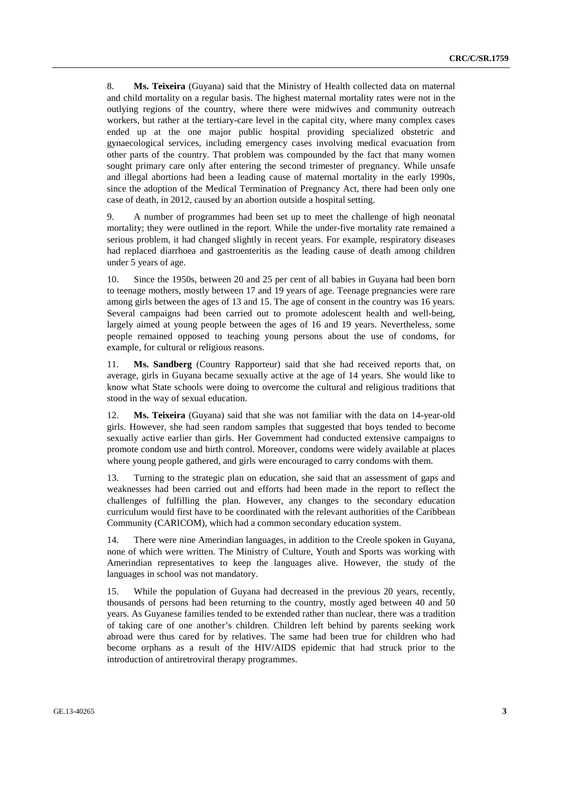8. **Ms. Teixeira** (Guyana) said that the Ministry of Health collected data on maternal and child mortality on a regular basis. The highest maternal mortality rates were not in the outlying regions of the country, where there were midwives and community outreach workers, but rather at the tertiary-care level in the capital city, where many complex cases ended up at the one major public hospital providing specialized obstetric and gynaecological services, including emergency cases involving medical evacuation from other parts of the country. That problem was compounded by the fact that many women sought primary care only after entering the second trimester of pregnancy. While unsafe and illegal abortions had been a leading cause of maternal mortality in the early 1990s, since the adoption of the Medical Termination of Pregnancy Act, there had been only one case of death, in 2012, caused by an abortion outside a hospital setting.

9. A number of programmes had been set up to meet the challenge of high neonatal mortality; they were outlined in the report. While the under-five mortality rate remained a serious problem, it had changed slightly in recent years. For example, respiratory diseases had replaced diarrhoea and gastroenteritis as the leading cause of death among children under 5 years of age.

10. Since the 1950s, between 20 and 25 per cent of all babies in Guyana had been born to teenage mothers, mostly between 17 and 19 years of age. Teenage pregnancies were rare among girls between the ages of 13 and 15. The age of consent in the country was 16 years. Several campaigns had been carried out to promote adolescent health and well-being, largely aimed at young people between the ages of 16 and 19 years. Nevertheless, some people remained opposed to teaching young persons about the use of condoms, for example, for cultural or religious reasons.

11. **Ms. Sandberg** (Country Rapporteur) said that she had received reports that, on average, girls in Guyana became sexually active at the age of 14 years. She would like to know what State schools were doing to overcome the cultural and religious traditions that stood in the way of sexual education.

12. **Ms. Teixeira** (Guyana) said that she was not familiar with the data on 14-year-old girls. However, she had seen random samples that suggested that boys tended to become sexually active earlier than girls. Her Government had conducted extensive campaigns to promote condom use and birth control. Moreover, condoms were widely available at places where young people gathered, and girls were encouraged to carry condoms with them.

13. Turning to the strategic plan on education, she said that an assessment of gaps and weaknesses had been carried out and efforts had been made in the report to reflect the challenges of fulfilling the plan. However, any changes to the secondary education curriculum would first have to be coordinated with the relevant authorities of the Caribbean Community (CARICOM), which had a common secondary education system.

14. There were nine Amerindian languages, in addition to the Creole spoken in Guyana, none of which were written. The Ministry of Culture, Youth and Sports was working with Amerindian representatives to keep the languages alive. However, the study of the languages in school was not mandatory.

15. While the population of Guyana had decreased in the previous 20 years, recently, thousands of persons had been returning to the country, mostly aged between 40 and 50 years. As Guyanese families tended to be extended rather than nuclear, there was a tradition of taking care of one another's children. Children left behind by parents seeking work abroad were thus cared for by relatives. The same had been true for children who had become orphans as a result of the HIV/AIDS epidemic that had struck prior to the introduction of antiretroviral therapy programmes.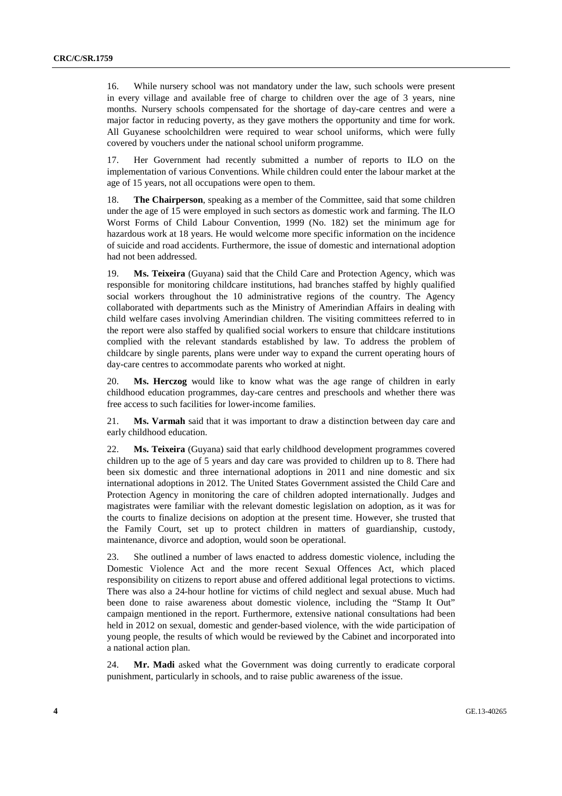16. While nursery school was not mandatory under the law, such schools were present in every village and available free of charge to children over the age of 3 years, nine months. Nursery schools compensated for the shortage of day-care centres and were a major factor in reducing poverty, as they gave mothers the opportunity and time for work. All Guyanese schoolchildren were required to wear school uniforms, which were fully covered by vouchers under the national school uniform programme.

17. Her Government had recently submitted a number of reports to ILO on the implementation of various Conventions. While children could enter the labour market at the age of 15 years, not all occupations were open to them.

18. **The Chairperson**, speaking as a member of the Committee, said that some children under the age of 15 were employed in such sectors as domestic work and farming. The ILO Worst Forms of Child Labour Convention, 1999 (No. 182) set the minimum age for hazardous work at 18 years. He would welcome more specific information on the incidence of suicide and road accidents. Furthermore, the issue of domestic and international adoption had not been addressed.

19. **Ms. Teixeira** (Guyana) said that the Child Care and Protection Agency, which was responsible for monitoring childcare institutions, had branches staffed by highly qualified social workers throughout the 10 administrative regions of the country. The Agency collaborated with departments such as the Ministry of Amerindian Affairs in dealing with child welfare cases involving Amerindian children. The visiting committees referred to in the report were also staffed by qualified social workers to ensure that childcare institutions complied with the relevant standards established by law. To address the problem of childcare by single parents, plans were under way to expand the current operating hours of day-care centres to accommodate parents who worked at night.

20. **Ms. Herczog** would like to know what was the age range of children in early childhood education programmes, day-care centres and preschools and whether there was free access to such facilities for lower-income families.

21. **Ms. Varmah** said that it was important to draw a distinction between day care and early childhood education.

22. **Ms. Teixeira** (Guyana) said that early childhood development programmes covered children up to the age of 5 years and day care was provided to children up to 8. There had been six domestic and three international adoptions in 2011 and nine domestic and six international adoptions in 2012. The United States Government assisted the Child Care and Protection Agency in monitoring the care of children adopted internationally. Judges and magistrates were familiar with the relevant domestic legislation on adoption, as it was for the courts to finalize decisions on adoption at the present time. However, she trusted that the Family Court, set up to protect children in matters of guardianship, custody, maintenance, divorce and adoption, would soon be operational.

23. She outlined a number of laws enacted to address domestic violence, including the Domestic Violence Act and the more recent Sexual Offences Act, which placed responsibility on citizens to report abuse and offered additional legal protections to victims. There was also a 24-hour hotline for victims of child neglect and sexual abuse. Much had been done to raise awareness about domestic violence, including the "Stamp It Out" campaign mentioned in the report. Furthermore, extensive national consultations had been held in 2012 on sexual, domestic and gender-based violence, with the wide participation of young people, the results of which would be reviewed by the Cabinet and incorporated into a national action plan.

24. **Mr. Madi** asked what the Government was doing currently to eradicate corporal punishment, particularly in schools, and to raise public awareness of the issue.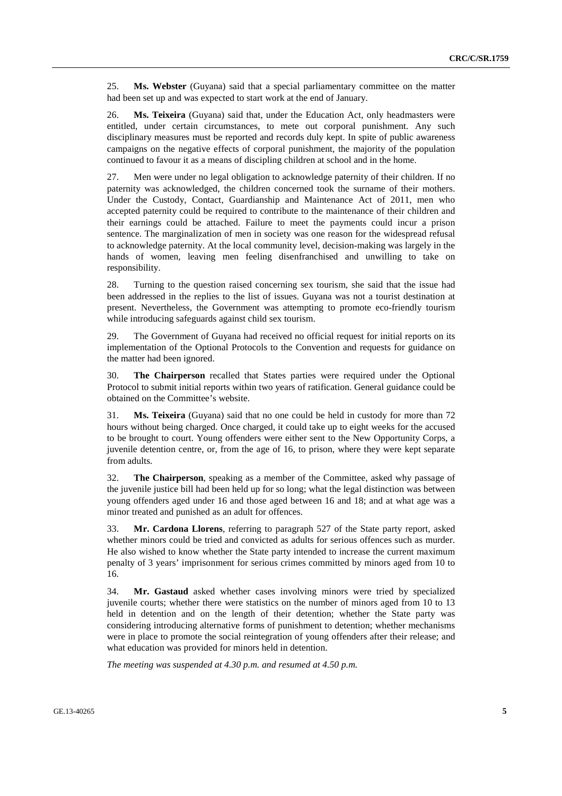25. **Ms. Webster** (Guyana) said that a special parliamentary committee on the matter had been set up and was expected to start work at the end of January.

26. **Ms. Teixeira** (Guyana) said that, under the Education Act, only headmasters were entitled, under certain circumstances, to mete out corporal punishment. Any such disciplinary measures must be reported and records duly kept. In spite of public awareness campaigns on the negative effects of corporal punishment, the majority of the population continued to favour it as a means of discipling children at school and in the home.

27. Men were under no legal obligation to acknowledge paternity of their children. If no paternity was acknowledged, the children concerned took the surname of their mothers. Under the Custody, Contact, Guardianship and Maintenance Act of 2011, men who accepted paternity could be required to contribute to the maintenance of their children and their earnings could be attached. Failure to meet the payments could incur a prison sentence. The marginalization of men in society was one reason for the widespread refusal to acknowledge paternity. At the local community level, decision-making was largely in the hands of women, leaving men feeling disenfranchised and unwilling to take on responsibility.

28. Turning to the question raised concerning sex tourism, she said that the issue had been addressed in the replies to the list of issues. Guyana was not a tourist destination at present. Nevertheless, the Government was attempting to promote eco-friendly tourism while introducing safeguards against child sex tourism.

29. The Government of Guyana had received no official request for initial reports on its implementation of the Optional Protocols to the Convention and requests for guidance on the matter had been ignored.

30. **The Chairperson** recalled that States parties were required under the Optional Protocol to submit initial reports within two years of ratification. General guidance could be obtained on the Committee's website.

31. **Ms. Teixeira** (Guyana) said that no one could be held in custody for more than 72 hours without being charged. Once charged, it could take up to eight weeks for the accused to be brought to court. Young offenders were either sent to the New Opportunity Corps, a juvenile detention centre, or, from the age of 16, to prison, where they were kept separate from adults.

32. **The Chairperson**, speaking as a member of the Committee, asked why passage of the juvenile justice bill had been held up for so long; what the legal distinction was between young offenders aged under 16 and those aged between 16 and 18; and at what age was a minor treated and punished as an adult for offences.

33. **Mr. Cardona Llorens**, referring to paragraph 527 of the State party report, asked whether minors could be tried and convicted as adults for serious offences such as murder. He also wished to know whether the State party intended to increase the current maximum penalty of 3 years' imprisonment for serious crimes committed by minors aged from 10 to 16.

34. **Mr. Gastaud** asked whether cases involving minors were tried by specialized juvenile courts; whether there were statistics on the number of minors aged from 10 to 13 held in detention and on the length of their detention; whether the State party was considering introducing alternative forms of punishment to detention; whether mechanisms were in place to promote the social reintegration of young offenders after their release; and what education was provided for minors held in detention.

*The meeting was suspended at 4.30 p.m. and resumed at 4.50 p.m.*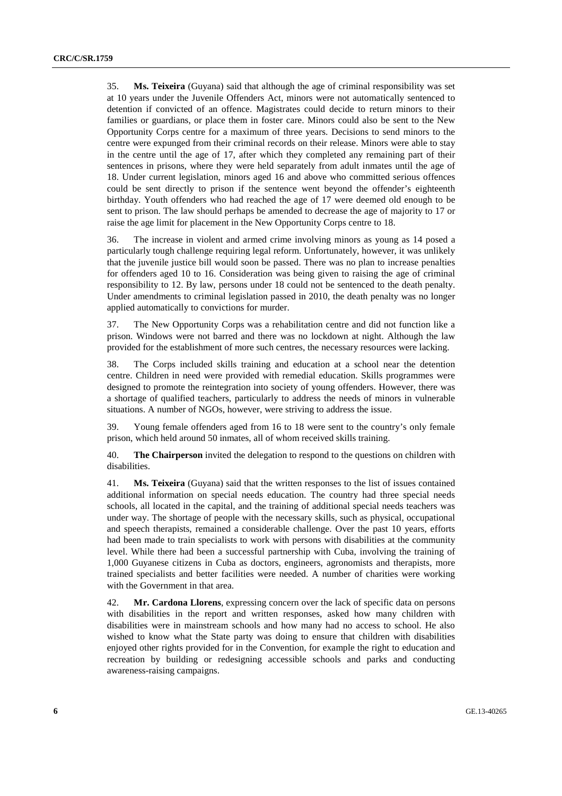35. **Ms. Teixeira** (Guyana) said that although the age of criminal responsibility was set at 10 years under the Juvenile Offenders Act, minors were not automatically sentenced to detention if convicted of an offence. Magistrates could decide to return minors to their families or guardians, or place them in foster care. Minors could also be sent to the New Opportunity Corps centre for a maximum of three years. Decisions to send minors to the centre were expunged from their criminal records on their release. Minors were able to stay in the centre until the age of 17, after which they completed any remaining part of their sentences in prisons, where they were held separately from adult inmates until the age of 18. Under current legislation, minors aged 16 and above who committed serious offences could be sent directly to prison if the sentence went beyond the offender's eighteenth birthday. Youth offenders who had reached the age of 17 were deemed old enough to be sent to prison. The law should perhaps be amended to decrease the age of majority to 17 or raise the age limit for placement in the New Opportunity Corps centre to 18.

36. The increase in violent and armed crime involving minors as young as 14 posed a particularly tough challenge requiring legal reform. Unfortunately, however, it was unlikely that the juvenile justice bill would soon be passed. There was no plan to increase penalties for offenders aged 10 to 16. Consideration was being given to raising the age of criminal responsibility to 12. By law, persons under 18 could not be sentenced to the death penalty. Under amendments to criminal legislation passed in 2010, the death penalty was no longer applied automatically to convictions for murder.

37. The New Opportunity Corps was a rehabilitation centre and did not function like a prison. Windows were not barred and there was no lockdown at night. Although the law provided for the establishment of more such centres, the necessary resources were lacking.

38. The Corps included skills training and education at a school near the detention centre. Children in need were provided with remedial education. Skills programmes were designed to promote the reintegration into society of young offenders. However, there was a shortage of qualified teachers, particularly to address the needs of minors in vulnerable situations. A number of NGOs, however, were striving to address the issue.

39. Young female offenders aged from 16 to 18 were sent to the country's only female prison, which held around 50 inmates, all of whom received skills training.

40. **The Chairperson** invited the delegation to respond to the questions on children with disabilities.

41. **Ms. Teixeira** (Guyana) said that the written responses to the list of issues contained additional information on special needs education. The country had three special needs schools, all located in the capital, and the training of additional special needs teachers was under way. The shortage of people with the necessary skills, such as physical, occupational and speech therapists, remained a considerable challenge. Over the past 10 years, efforts had been made to train specialists to work with persons with disabilities at the community level. While there had been a successful partnership with Cuba, involving the training of 1,000 Guyanese citizens in Cuba as doctors, engineers, agronomists and therapists, more trained specialists and better facilities were needed. A number of charities were working with the Government in that area.

42. **Mr. Cardona Llorens**, expressing concern over the lack of specific data on persons with disabilities in the report and written responses, asked how many children with disabilities were in mainstream schools and how many had no access to school. He also wished to know what the State party was doing to ensure that children with disabilities enjoyed other rights provided for in the Convention, for example the right to education and recreation by building or redesigning accessible schools and parks and conducting awareness-raising campaigns.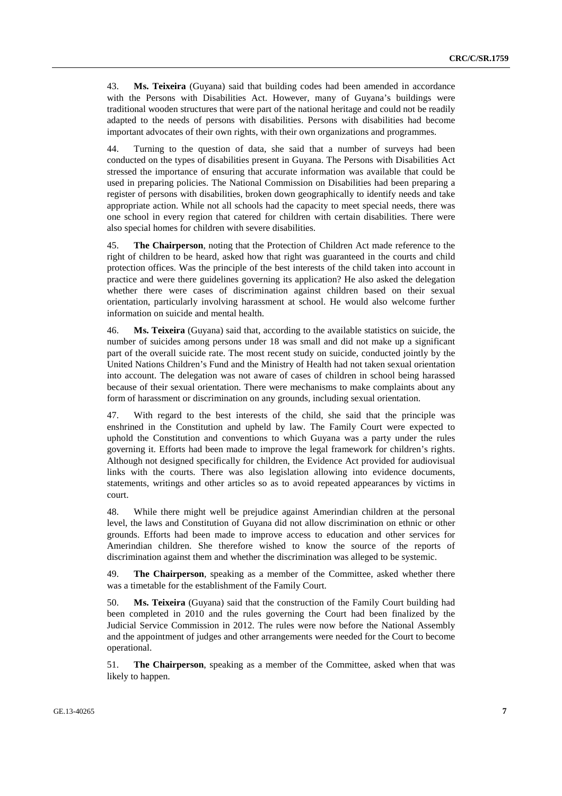43. **Ms. Teixeira** (Guyana) said that building codes had been amended in accordance with the Persons with Disabilities Act. However, many of Guyana's buildings were traditional wooden structures that were part of the national heritage and could not be readily adapted to the needs of persons with disabilities. Persons with disabilities had become important advocates of their own rights, with their own organizations and programmes.

44. Turning to the question of data, she said that a number of surveys had been conducted on the types of disabilities present in Guyana. The Persons with Disabilities Act stressed the importance of ensuring that accurate information was available that could be used in preparing policies. The National Commission on Disabilities had been preparing a register of persons with disabilities, broken down geographically to identify needs and take appropriate action. While not all schools had the capacity to meet special needs, there was one school in every region that catered for children with certain disabilities. There were also special homes for children with severe disabilities.

45. **The Chairperson**, noting that the Protection of Children Act made reference to the right of children to be heard, asked how that right was guaranteed in the courts and child protection offices. Was the principle of the best interests of the child taken into account in practice and were there guidelines governing its application? He also asked the delegation whether there were cases of discrimination against children based on their sexual orientation, particularly involving harassment at school. He would also welcome further information on suicide and mental health.

46. **Ms. Teixeira** (Guyana) said that, according to the available statistics on suicide, the number of suicides among persons under 18 was small and did not make up a significant part of the overall suicide rate. The most recent study on suicide, conducted jointly by the United Nations Children's Fund and the Ministry of Health had not taken sexual orientation into account. The delegation was not aware of cases of children in school being harassed because of their sexual orientation. There were mechanisms to make complaints about any form of harassment or discrimination on any grounds, including sexual orientation.

47. With regard to the best interests of the child, she said that the principle was enshrined in the Constitution and upheld by law. The Family Court were expected to uphold the Constitution and conventions to which Guyana was a party under the rules governing it. Efforts had been made to improve the legal framework for children's rights. Although not designed specifically for children, the Evidence Act provided for audiovisual links with the courts. There was also legislation allowing into evidence documents, statements, writings and other articles so as to avoid repeated appearances by victims in court.

48. While there might well be prejudice against Amerindian children at the personal level, the laws and Constitution of Guyana did not allow discrimination on ethnic or other grounds. Efforts had been made to improve access to education and other services for Amerindian children. She therefore wished to know the source of the reports of discrimination against them and whether the discrimination was alleged to be systemic.

49. **The Chairperson**, speaking as a member of the Committee, asked whether there was a timetable for the establishment of the Family Court.

50. **Ms. Teixeira** (Guyana) said that the construction of the Family Court building had been completed in 2010 and the rules governing the Court had been finalized by the Judicial Service Commission in 2012. The rules were now before the National Assembly and the appointment of judges and other arrangements were needed for the Court to become operational.

51. **The Chairperson**, speaking as a member of the Committee, asked when that was likely to happen.